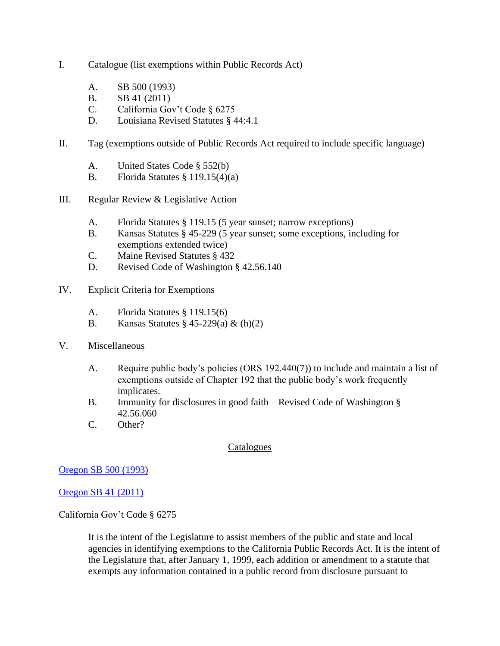- I. Catalogue (list exemptions within Public Records Act)
	- A. SB 500 (1993)
	- B. SB 41 (2011)
	- C. California Gov't Code § 6275
	- D. Louisiana Revised Statutes § 44:4.1
- II. Tag (exemptions outside of Public Records Act required to include specific language)
	- A. United States Code § 552(b)
	- B. Florida Statutes § 119.15(4)(a)
- III. Regular Review & Legislative Action
	- A. Florida Statutes § 119.15 (5 year sunset; narrow exceptions)
	- B. Kansas Statutes § 45-229 (5 year sunset; some exceptions, including for exemptions extended twice)
	- C. Maine Revised Statutes § 432
	- D. Revised Code of Washington § 42.56.140
- IV. Explicit Criteria for Exemptions
	- A. Florida Statutes § 119.15(6)
	- B. Kansas Statutes § 45-229(a) & (h)(2)
- V. Miscellaneous
	- A. Require public body's policies (ORS 192.440(7)) to include and maintain a list of exemptions outside of Chapter 192 that the public body's work frequently implicates.
	- B. Immunity for disclosures in good faith Revised Code of Washington § 42.56.060
	- C. Other?

## Catalogues

## [Oregon SB 500 \(1993\)](http://www.doj.state.or.us/public_records/pdf/public_records_law_reform_task_force_11-18-15_materials_sb500_1993.pdf)

[Oregon SB 41 \(2011\)](https://olis.leg.state.or.us/liz/2011R1/Downloads/MeasureDocument/SB41/A-Engrossed)

California Gov't Code § 6275

It is the intent of the Legislature to assist members of the public and state and local agencies in identifying exemptions to the California Public Records Act. It is the intent of the Legislature that, after January 1, 1999, each addition or amendment to a statute that exempts any information contained in a public record from disclosure pursuant to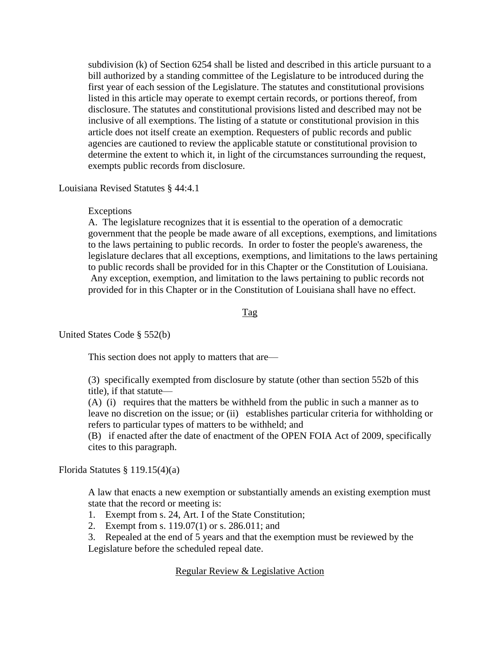subdivision (k) of Section 6254 shall be listed and described in this article pursuant to a bill authorized by a standing committee of the Legislature to be introduced during the first year of each session of the Legislature. The statutes and constitutional provisions listed in this article may operate to exempt certain records, or portions thereof, from disclosure. The statutes and constitutional provisions listed and described may not be inclusive of all exemptions. The listing of a statute or constitutional provision in this article does not itself create an exemption. Requesters of public records and public agencies are cautioned to review the applicable statute or constitutional provision to determine the extent to which it, in light of the circumstances surrounding the request, exempts public records from disclosure.

Louisiana Revised Statutes § 44:4.1

#### Exceptions

A. The legislature recognizes that it is essential to the operation of a democratic government that the people be made aware of all exceptions, exemptions, and limitations to the laws pertaining to public records. In order to foster the people's awareness, the legislature declares that all exceptions, exemptions, and limitations to the laws pertaining to public records shall be provided for in this Chapter or the Constitution of Louisiana. Any exception, exemption, and limitation to the laws pertaining to public records not provided for in this Chapter or in the Constitution of Louisiana shall have no effect.

#### Tag

United States Code § 552(b)

This section does not apply to matters that are—

(3) specifically exempted from disclosure by statute (other than section 552b of this title), if that statute—

(A) (i) requires that the matters be withheld from the public in such a manner as to leave no discretion on the issue; or (ii) establishes particular criteria for withholding or refers to particular types of matters to be withheld; and

(B) if enacted after the date of enactment of the OPEN FOIA Act of 2009, specifically cites to this paragraph.

Florida Statutes § 119.15(4)(a)

A law that enacts a new exemption or substantially amends an existing exemption must state that the record or meeting is:

- 1. Exempt from s. 24, Art. I of the State Constitution;
- 2. Exempt from s. 119.07(1) or s. 286.011; and
- 3. Repealed at the end of 5 years and that the exemption must be reviewed by the

Legislature before the scheduled repeal date.

## Regular Review & Legislative Action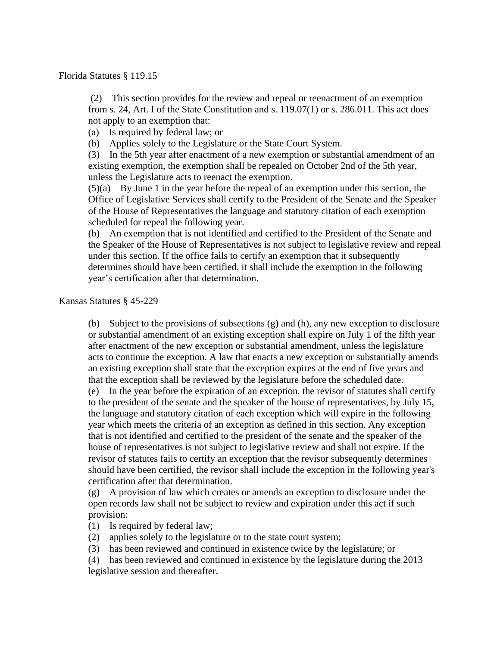#### Florida Statutes § 119.15

(2) This section provides for the review and repeal or reenactment of an exemption from s. 24, Art. I of the State Constitution and s. 119.07(1) or s. 286.011. This act does not apply to an exemption that:

(a) Is required by federal law; or

(b) Applies solely to the Legislature or the State Court System.

(3) In the 5th year after enactment of a new exemption or substantial amendment of an existing exemption, the exemption shall be repealed on October 2nd of the 5th year, unless the Legislature acts to reenact the exemption.

(5)(a) By June 1 in the year before the repeal of an exemption under this section, the Office of Legislative Services shall certify to the President of the Senate and the Speaker of the House of Representatives the language and statutory citation of each exemption scheduled for repeal the following year.

(b) An exemption that is not identified and certified to the President of the Senate and the Speaker of the House of Representatives is not subject to legislative review and repeal under this section. If the office fails to certify an exemption that it subsequently determines should have been certified, it shall include the exemption in the following year's certification after that determination.

Kansas Statutes § 45-229

(b) Subject to the provisions of subsections (g) and (h), any new exception to disclosure or substantial amendment of an existing exception shall expire on July 1 of the fifth year after enactment of the new exception or substantial amendment, unless the legislature acts to continue the exception. A law that enacts a new exception or substantially amends an existing exception shall state that the exception expires at the end of five years and that the exception shall be reviewed by the legislature before the scheduled date.

(e) In the year before the expiration of an exception, the revisor of statutes shall certify to the president of the senate and the speaker of the house of representatives, by July 15, the language and statutory citation of each exception which will expire in the following year which meets the criteria of an exception as defined in this section. Any exception that is not identified and certified to the president of the senate and the speaker of the house of representatives is not subject to legislative review and shall not expire. If the revisor of statutes fails to certify an exception that the revisor subsequently determines should have been certified, the revisor shall include the exception in the following year's certification after that determination.

(g) A provision of law which creates or amends an exception to disclosure under the open records law shall not be subject to review and expiration under this act if such provision:

(1) Is required by federal law;

(2) applies solely to the legislature or to the state court system;

(3) has been reviewed and continued in existence twice by the legislature; or

(4) has been reviewed and continued in existence by the legislature during the 2013 legislative session and thereafter.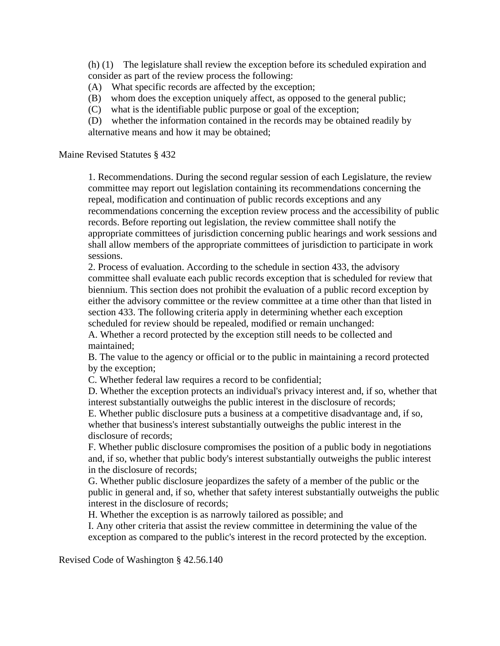(h) (1) The legislature shall review the exception before its scheduled expiration and consider as part of the review process the following:

(A) What specific records are affected by the exception;

(B) whom does the exception uniquely affect, as opposed to the general public;

(C) what is the identifiable public purpose or goal of the exception;

(D) whether the information contained in the records may be obtained readily by alternative means and how it may be obtained;

#### Maine Revised Statutes § 432

1. Recommendations. During the second regular session of each Legislature, the review committee may report out legislation containing its recommendations concerning the repeal, modification and continuation of public records exceptions and any recommendations concerning the exception review process and the accessibility of public records. Before reporting out legislation, the review committee shall notify the appropriate committees of jurisdiction concerning public hearings and work sessions and shall allow members of the appropriate committees of jurisdiction to participate in work sessions.

2. Process of evaluation. According to the schedule in section 433, the advisory committee shall evaluate each public records exception that is scheduled for review that biennium. This section does not prohibit the evaluation of a public record exception by either the advisory committee or the review committee at a time other than that listed in section 433. The following criteria apply in determining whether each exception scheduled for review should be repealed, modified or remain unchanged:

A. Whether a record protected by the exception still needs to be collected and maintained;

B. The value to the agency or official or to the public in maintaining a record protected by the exception;

C. Whether federal law requires a record to be confidential;

D. Whether the exception protects an individual's privacy interest and, if so, whether that interest substantially outweighs the public interest in the disclosure of records;

E. Whether public disclosure puts a business at a competitive disadvantage and, if so, whether that business's interest substantially outweighs the public interest in the disclosure of records;

F. Whether public disclosure compromises the position of a public body in negotiations and, if so, whether that public body's interest substantially outweighs the public interest in the disclosure of records;

G. Whether public disclosure jeopardizes the safety of a member of the public or the public in general and, if so, whether that safety interest substantially outweighs the public interest in the disclosure of records;

H. Whether the exception is as narrowly tailored as possible; and

I. Any other criteria that assist the review committee in determining the value of the exception as compared to the public's interest in the record protected by the exception.

Revised Code of Washington § 42.56.140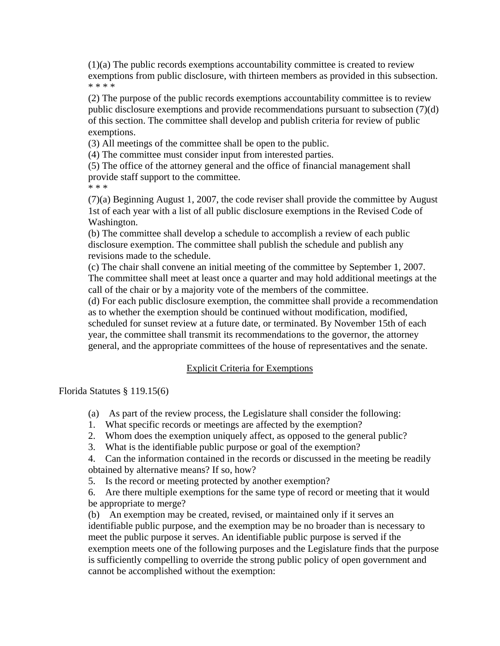(1)(a) The public records exemptions accountability committee is created to review exemptions from public disclosure, with thirteen members as provided in this subsection. \* \* \* \*

(2) The purpose of the public records exemptions accountability committee is to review public disclosure exemptions and provide recommendations pursuant to subsection (7)(d) of this section. The committee shall develop and publish criteria for review of public exemptions.

(3) All meetings of the committee shall be open to the public.

(4) The committee must consider input from interested parties.

(5) The office of the attorney general and the office of financial management shall provide staff support to the committee.

\* \* \*

(7)(a) Beginning August 1, 2007, the code reviser shall provide the committee by August 1st of each year with a list of all public disclosure exemptions in the Revised Code of Washington.

(b) The committee shall develop a schedule to accomplish a review of each public disclosure exemption. The committee shall publish the schedule and publish any revisions made to the schedule.

(c) The chair shall convene an initial meeting of the committee by September 1, 2007. The committee shall meet at least once a quarter and may hold additional meetings at the call of the chair or by a majority vote of the members of the committee.

(d) For each public disclosure exemption, the committee shall provide a recommendation as to whether the exemption should be continued without modification, modified, scheduled for sunset review at a future date, or terminated. By November 15th of each year, the committee shall transmit its recommendations to the governor, the attorney general, and the appropriate committees of the house of representatives and the senate.

# Explicit Criteria for Exemptions

Florida Statutes § 119.15(6)

(a) As part of the review process, the Legislature shall consider the following:

- 1. What specific records or meetings are affected by the exemption?
- 2. Whom does the exemption uniquely affect, as opposed to the general public?
- 3. What is the identifiable public purpose or goal of the exemption?

4. Can the information contained in the records or discussed in the meeting be readily obtained by alternative means? If so, how?

5. Is the record or meeting protected by another exemption?

6. Are there multiple exemptions for the same type of record or meeting that it would be appropriate to merge?

(b) An exemption may be created, revised, or maintained only if it serves an identifiable public purpose, and the exemption may be no broader than is necessary to meet the public purpose it serves. An identifiable public purpose is served if the exemption meets one of the following purposes and the Legislature finds that the purpose is sufficiently compelling to override the strong public policy of open government and cannot be accomplished without the exemption: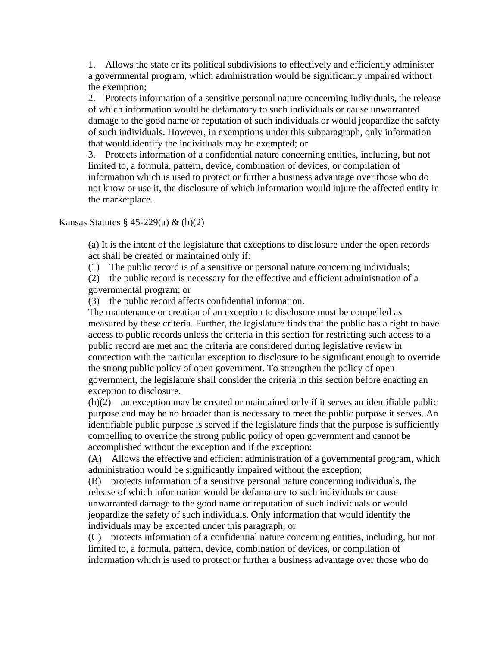1. Allows the state or its political subdivisions to effectively and efficiently administer a governmental program, which administration would be significantly impaired without the exemption;

2. Protects information of a sensitive personal nature concerning individuals, the release of which information would be defamatory to such individuals or cause unwarranted damage to the good name or reputation of such individuals or would jeopardize the safety of such individuals. However, in exemptions under this subparagraph, only information that would identify the individuals may be exempted; or

3. Protects information of a confidential nature concerning entities, including, but not limited to, a formula, pattern, device, combination of devices, or compilation of information which is used to protect or further a business advantage over those who do not know or use it, the disclosure of which information would injure the affected entity in the marketplace.

Kansas Statutes § 45-229(a)  $\&$  (h)(2)

(a) It is the intent of the legislature that exceptions to disclosure under the open records act shall be created or maintained only if:

(1) The public record is of a sensitive or personal nature concerning individuals;

(2) the public record is necessary for the effective and efficient administration of a governmental program; or

(3) the public record affects confidential information.

The maintenance or creation of an exception to disclosure must be compelled as measured by these criteria. Further, the legislature finds that the public has a right to have access to public records unless the criteria in this section for restricting such access to a public record are met and the criteria are considered during legislative review in connection with the particular exception to disclosure to be significant enough to override the strong public policy of open government. To strengthen the policy of open government, the legislature shall consider the criteria in this section before enacting an exception to disclosure.

(h)(2) an exception may be created or maintained only if it serves an identifiable public purpose and may be no broader than is necessary to meet the public purpose it serves. An identifiable public purpose is served if the legislature finds that the purpose is sufficiently compelling to override the strong public policy of open government and cannot be accomplished without the exception and if the exception:

(A) Allows the effective and efficient administration of a governmental program, which administration would be significantly impaired without the exception;

(B) protects information of a sensitive personal nature concerning individuals, the release of which information would be defamatory to such individuals or cause unwarranted damage to the good name or reputation of such individuals or would jeopardize the safety of such individuals. Only information that would identify the individuals may be excepted under this paragraph; or

(C) protects information of a confidential nature concerning entities, including, but not limited to, a formula, pattern, device, combination of devices, or compilation of information which is used to protect or further a business advantage over those who do